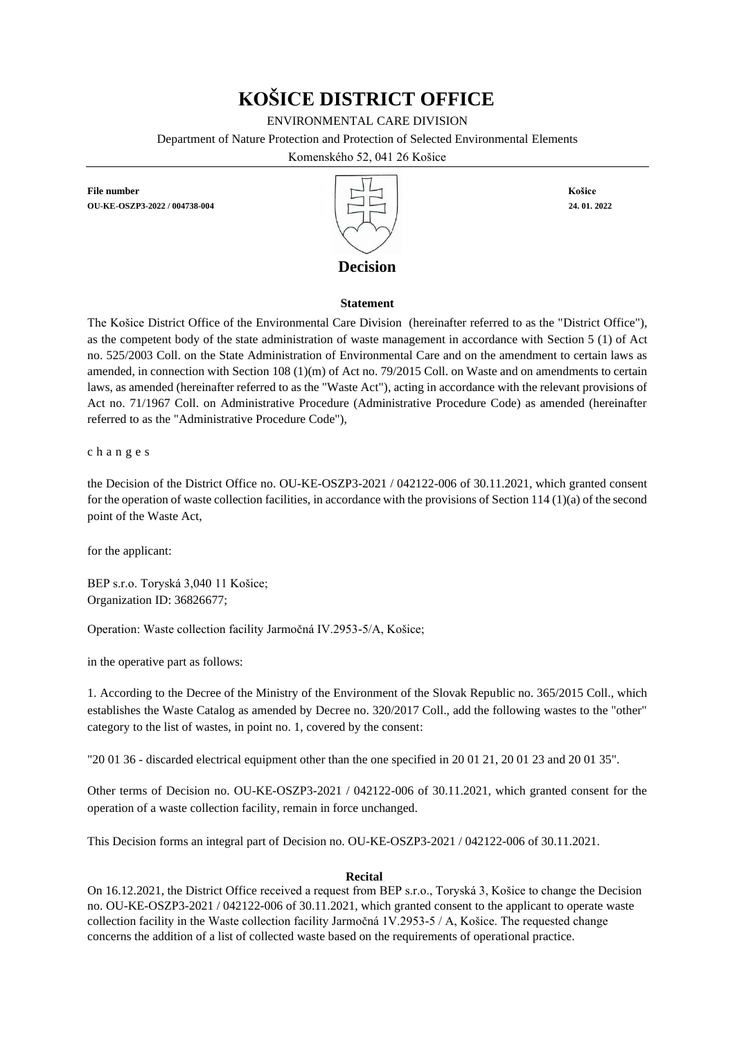# **KOŠICE DISTRICT OFFICE**

ENVIRONMENTAL CARE DIVISION

Department of Nature Protection and Protection of Selected Environmental Elements

Komenského 52, 041 26 Košice

**File number** Košice **OU-KE-OSZP3-2022 / 004738-004 24. 01. 2022**



# **Decision**

## **Statement**

The Košice District Office of the Environmental Care Division (hereinafter referred to as the "District Office"), as the competent body of the state administration of waste management in accordance with Section 5 (1) of Act no. 525/2003 Coll. on the State Administration of Environmental Care and on the amendment to certain laws as amended, in connection with Section 108 (1)(m) of Act no. 79/2015 Coll. on Waste and on amendments to certain laws, as amended (hereinafter referred to as the "Waste Act"), acting in accordance with the relevant provisions of Act no. 71/1967 Coll. on Administrative Procedure (Administrative Procedure Code) as amended (hereinafter referred to as the "Administrative Procedure Code"),

c h a n g e s

the Decision of the District Office no. OU-KE-OSZP3-2021 / 042122-006 of 30.11.2021, which granted consent for the operation of waste collection facilities, in accordance with the provisions of Section 114 (1)(a) of the second point of the Waste Act,

for the applicant:

BEP s.r.o. Toryská 3,040 11 Košice; Organization ID: 36826677;

Operation: Waste collection facility Jarmočná IV.2953-5/A, Košice;

in the operative part as follows:

1. According to the Decree of the Ministry of the Environment of the Slovak Republic no. 365/2015 Coll., which establishes the Waste Catalog as amended by Decree no. 320/2017 Coll., add the following wastes to the "other" category to the list of wastes, in point no. 1, covered by the consent:

"20 01 36 - discarded electrical equipment other than the one specified in 20 01 21, 20 01 23 and 20 01 35".

Other terms of Decision no. OU-KE-OSZP3-2021 / 042122-006 of 30.11.2021, which granted consent for the operation of a waste collection facility, remain in force unchanged.

This Decision forms an integral part of Decision no. OU-KE-OSZP3-2021 / 042122-006 of 30.11.2021.

### **Recital**

On 16.12.2021, the District Office received a request from BEP s.r.o., Toryská 3, Košice to change the Decision no. OU-KE-OSZP3-2021 / 042122-006 of 30.11.2021, which granted consent to the applicant to operate waste collection facility in the Waste collection facility Jarmočná 1V.2953-5 / A, Košice. The requested change concerns the addition of a list of collected waste based on the requirements of operational practice.